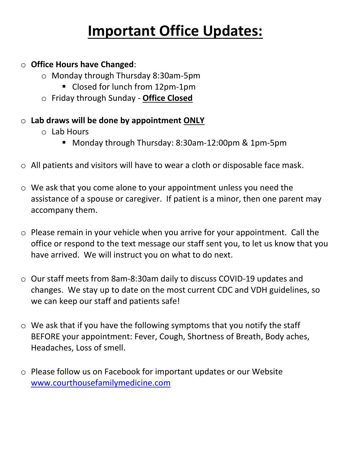### **Important Office Updates:**

#### o **Office Hours have Changed**:

- o Monday through Thursday 8:30am-5pm
	- Closed for lunch from 12pm-1pm
- o Friday through Sunday **Office Closed**

#### o **Lab draws will be done by appointment ONLY**

- o Lab Hours
	- Monday through Thursday: 8:30am-12:00pm & 1pm-5pm
- o All patients and visitors will have to wear a cloth or disposable face mask.
- o We ask that you come alone to your appointment unless you need the assistance of a spouse or caregiver. If patient is a minor, then one parent may accompany them.
- o Please remain in your vehicle when you arrive for your appointment. Call the office or respond to the text message our staff sent you, to let us know that you have arrived. We will instruct you on what to do next.
- o Our staff meets from 8am-8:30am daily to discuss COVID-19 updates and changes. We stay up to date on the most current CDC and VDH guidelines, so we can keep our staff and patients safe!
- o We ask that if you have the following symptoms that you notify the staff BEFORE your appointment: Fever, Cough, Shortness of Breath, Body aches, Headaches, Loss of smell.
- o Please follow us on Facebook for important updates or our Website [www.courthousefamilymedicine.com](http://www.courthousefamilymedicine.com/)